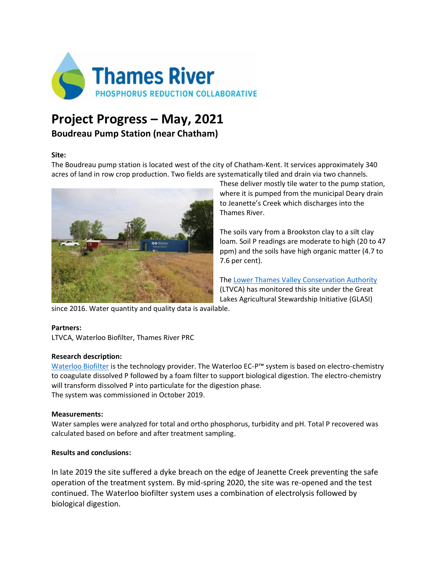

# **Project Progress – May, 2021**

## **Boudreau Pump Station (near Chatham)**

#### **Site:**

The Boudreau pump station is located west of the city of Chatham-Kent. It services approximately 340 acres of land in row crop production. Two fields are systematically tiled and drain via two channels.



These deliver mostly tile water to the pump station, where it is pumped from the municipal Deary drain to Jeanette's Creek which discharges into the Thames River.

The soils vary from a Brookston clay to a silt clay loam. Soil P readings are moderate to high (20 to 47 ppm) and the soils have high organic matter (4.7 to 7.6 per cent).

The [Lower Thames Valley Conservation Authority](https://www.lowerthames-conservation.on.ca/) (LTVCA) has monitored this site under the Great Lakes Agricultural Stewardship Initiative (GLASI)

since 2016. Water quantity and quality data is available.

### **Partners:**

LTVCA, Waterloo Biofilter, Thames River PRC

### **Research description:**

[Waterloo Biofilter](https://waterloo-biofilter.com/) is the technology provider. The Waterloo EC-P™ system is based on electro-chemistry to coagulate dissolved P followed by a foam filter to support biological digestion. The electro-chemistry will transform dissolved P into particulate for the digestion phase. The system was commissioned in October 2019.

### **Measurements:**

Water samples were analyzed for total and ortho phosphorus, turbidity and pH. Total P recovered was calculated based on before and after treatment sampling.

### **Results and conclusions:**

In late 2019 the site suffered a dyke breach on the edge of Jeanette Creek preventing the safe operation of the treatment system. By mid-spring 2020, the site was re-opened and the test continued. The Waterloo biofilter system uses a combination of electrolysis followed by biological digestion.